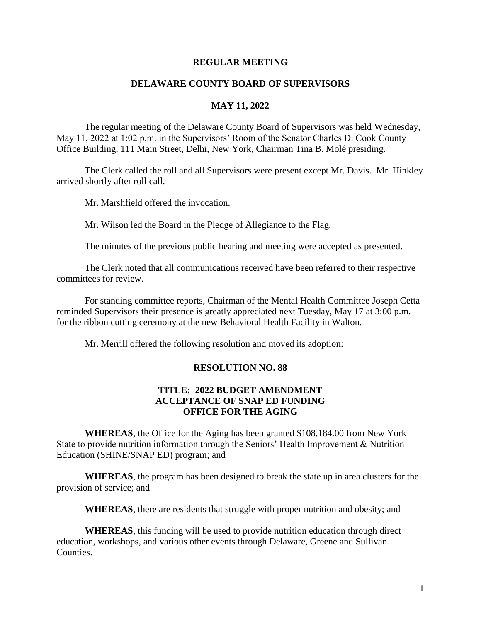#### **REGULAR MEETING**

### **DELAWARE COUNTY BOARD OF SUPERVISORS**

#### **MAY 11, 2022**

The regular meeting of the Delaware County Board of Supervisors was held Wednesday, May 11, 2022 at 1:02 p.m. in the Supervisors' Room of the Senator Charles D. Cook County Office Building, 111 Main Street, Delhi, New York, Chairman Tina B. Molé presiding.

The Clerk called the roll and all Supervisors were present except Mr. Davis. Mr. Hinkley arrived shortly after roll call.

Mr. Marshfield offered the invocation.

Mr. Wilson led the Board in the Pledge of Allegiance to the Flag.

The minutes of the previous public hearing and meeting were accepted as presented.

The Clerk noted that all communications received have been referred to their respective committees for review.

For standing committee reports, Chairman of the Mental Health Committee Joseph Cetta reminded Supervisors their presence is greatly appreciated next Tuesday, May 17 at 3:00 p.m. for the ribbon cutting ceremony at the new Behavioral Health Facility in Walton.

Mr. Merrill offered the following resolution and moved its adoption:

### **RESOLUTION NO. 88**

### **TITLE: 2022 BUDGET AMENDMENT ACCEPTANCE OF SNAP ED FUNDING OFFICE FOR THE AGING**

**WHEREAS**, the Office for the Aging has been granted \$108,184.00 from New York State to provide nutrition information through the Seniors' Health Improvement & Nutrition Education (SHINE/SNAP ED) program; and

**WHEREAS**, the program has been designed to break the state up in area clusters for the provision of service; and

**WHEREAS**, there are residents that struggle with proper nutrition and obesity; and

**WHEREAS**, this funding will be used to provide nutrition education through direct education, workshops, and various other events through Delaware, Greene and Sullivan Counties.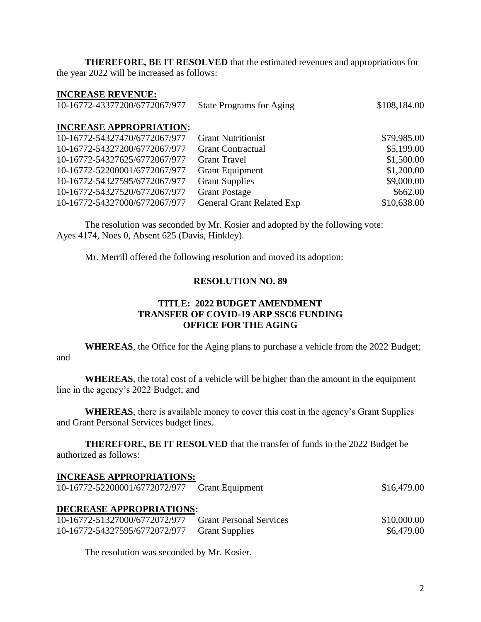**THEREFORE, BE IT RESOLVED** that the estimated revenues and appropriations for the year 2022 will be increased as follows:

#### **INCREASE REVENUE:**

| 10-16772-43377200/6772067/977  | <b>State Programs for Aging</b>  | \$108,184.00 |
|--------------------------------|----------------------------------|--------------|
| <b>INCREASE APPROPRIATION:</b> |                                  |              |
| 10-16772-54327470/6772067/977  | <b>Grant Nutritionist</b>        | \$79,985.00  |
| 10-16772-54327200/6772067/977  | <b>Grant Contractual</b>         | \$5,199.00   |
| 10-16772-54327625/6772067/977  | <b>Grant Travel</b>              | \$1,500.00   |
| 10-16772-52200001/6772067/977  | <b>Grant Equipment</b>           | \$1,200.00   |
| 10-16772-54327595/6772067/977  | <b>Grant Supplies</b>            | \$9,000.00   |
| 10-16772-54327520/6772067/977  | <b>Grant Postage</b>             | \$662.00     |
| 10-16772-54327000/6772067/977  | <b>General Grant Related Exp</b> | \$10,638.00  |

The resolution was seconded by Mr. Kosier and adopted by the following vote: Ayes 4174, Noes 0, Absent 625 (Davis, Hinkley).

Mr. Merrill offered the following resolution and moved its adoption:

### **RESOLUTION NO. 89**

## **TITLE: 2022 BUDGET AMENDMENT TRANSFER OF COVID-19 ARP SSC6 FUNDING OFFICE FOR THE AGING**

**WHEREAS**, the Office for the Aging plans to purchase a vehicle from the 2022 Budget; and

**WHEREAS**, the total cost of a vehicle will be higher than the amount in the equipment line in the agency's 2022 Budget; and

**WHEREAS**, there is available money to cover this cost in the agency's Grant Supplies and Grant Personal Services budget lines.

**THEREFORE, BE IT RESOLVED** that the transfer of funds in the 2022 Budget be authorized as follows:

| <b>INCREASE APPROPRIATIONS:</b>                       |                       |             |
|-------------------------------------------------------|-----------------------|-------------|
| 10-16772-52200001/6772072/977 Grant Equipment         |                       | \$16,479.00 |
| <b>DECREASE APPROPRIATIONS:</b>                       |                       |             |
| 10-16772-51327000/6772072/977 Grant Personal Services |                       | \$10,000.00 |
| 10-16772-54327595/6772072/977                         | <b>Grant Supplies</b> | \$6,479.00  |

The resolution was seconded by Mr. Kosier.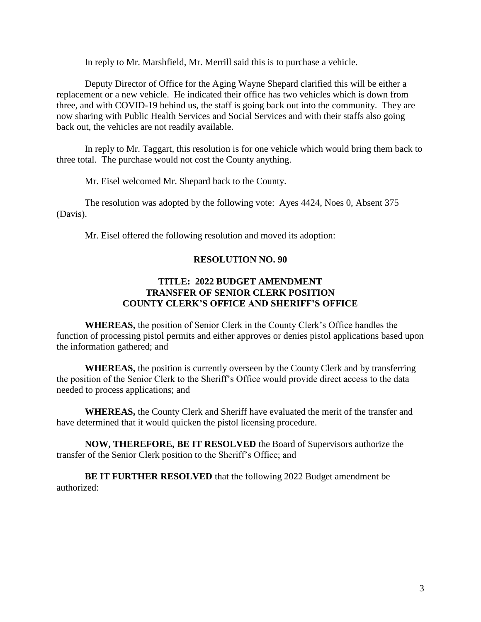In reply to Mr. Marshfield, Mr. Merrill said this is to purchase a vehicle.

Deputy Director of Office for the Aging Wayne Shepard clarified this will be either a replacement or a new vehicle. He indicated their office has two vehicles which is down from three, and with COVID-19 behind us, the staff is going back out into the community. They are now sharing with Public Health Services and Social Services and with their staffs also going back out, the vehicles are not readily available.

In reply to Mr. Taggart, this resolution is for one vehicle which would bring them back to three total. The purchase would not cost the County anything.

Mr. Eisel welcomed Mr. Shepard back to the County.

The resolution was adopted by the following vote: Ayes 4424, Noes 0, Absent 375 (Davis).

Mr. Eisel offered the following resolution and moved its adoption:

#### **RESOLUTION NO. 90**

### **TITLE: 2022 BUDGET AMENDMENT TRANSFER OF SENIOR CLERK POSITION COUNTY CLERK'S OFFICE AND SHERIFF'S OFFICE**

**WHEREAS,** the position of Senior Clerk in the County Clerk's Office handles the function of processing pistol permits and either approves or denies pistol applications based upon the information gathered; and

**WHEREAS,** the position is currently overseen by the County Clerk and by transferring the position of the Senior Clerk to the Sheriff's Office would provide direct access to the data needed to process applications; and

**WHEREAS,** the County Clerk and Sheriff have evaluated the merit of the transfer and have determined that it would quicken the pistol licensing procedure.

**NOW, THEREFORE, BE IT RESOLVED** the Board of Supervisors authorize the transfer of the Senior Clerk position to the Sheriff's Office; and

**BE IT FURTHER RESOLVED** that the following 2022 Budget amendment be authorized: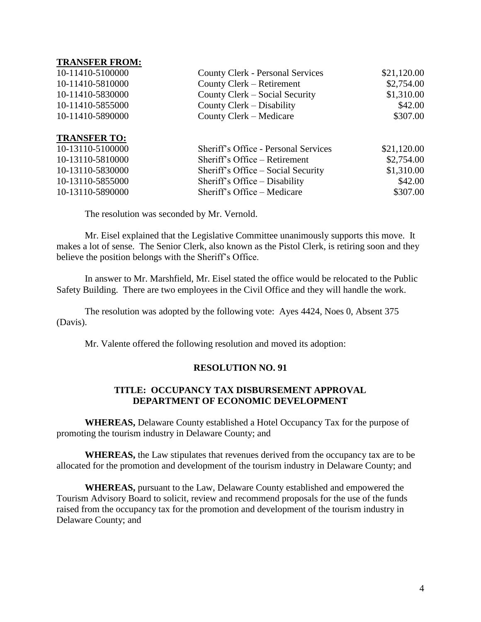### **TRANSFER FROM:**

#### **TRANSFER TO:**

10-11410-5100000 County Clerk - Personal Services \$21,120.00 10-11410-5810000 County Clerk – Retirement \$2,754.00 10-11410-5830000 County Clerk – Social Security \$1,310.00 10-11410-5855000 County Clerk – Disability \$42.00 10-11410-5890000 County Clerk – Medicare \$307.00 10-13110-5100000 Sheriff's Office - Personal Services \$21,120.00 10-13110-5810000 Sheriff's Office – Retirement \$2,754.00 10-13110-5830000 Sheriff's Office – Social Security \$1,310.00 10-13110-5855000 Sheriff's Office – Disability \$42.00 10-13110-5890000 Sheriff's Office – Medicare \$307.00

The resolution was seconded by Mr. Vernold.

Mr. Eisel explained that the Legislative Committee unanimously supports this move. It makes a lot of sense. The Senior Clerk, also known as the Pistol Clerk, is retiring soon and they believe the position belongs with the Sheriff's Office.

In answer to Mr. Marshfield, Mr. Eisel stated the office would be relocated to the Public Safety Building. There are two employees in the Civil Office and they will handle the work.

The resolution was adopted by the following vote: Ayes 4424, Noes 0, Absent 375 (Davis).

Mr. Valente offered the following resolution and moved its adoption:

### **RESOLUTION NO. 91**

### **TITLE: OCCUPANCY TAX DISBURSEMENT APPROVAL DEPARTMENT OF ECONOMIC DEVELOPMENT**

**WHEREAS,** Delaware County established a Hotel Occupancy Tax for the purpose of promoting the tourism industry in Delaware County; and

**WHEREAS,** the Law stipulates that revenues derived from the occupancy tax are to be allocated for the promotion and development of the tourism industry in Delaware County; and

**WHEREAS,** pursuant to the Law, Delaware County established and empowered the Tourism Advisory Board to solicit, review and recommend proposals for the use of the funds raised from the occupancy tax for the promotion and development of the tourism industry in Delaware County; and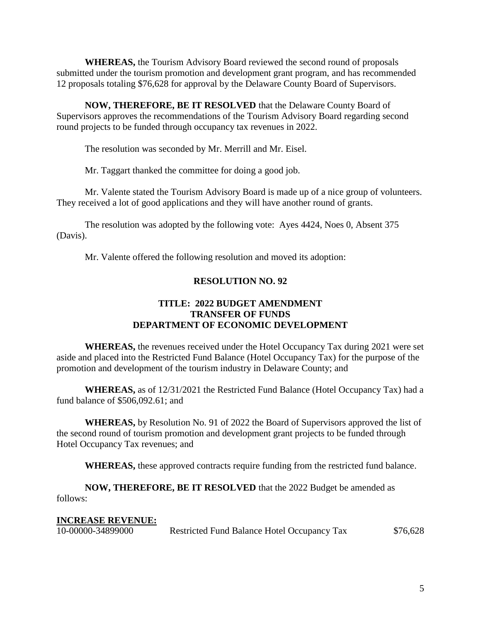**WHEREAS,** the Tourism Advisory Board reviewed the second round of proposals submitted under the tourism promotion and development grant program, and has recommended 12 proposals totaling \$76,628 for approval by the Delaware County Board of Supervisors.

**NOW, THEREFORE, BE IT RESOLVED** that the Delaware County Board of Supervisors approves the recommendations of the Tourism Advisory Board regarding second round projects to be funded through occupancy tax revenues in 2022.

The resolution was seconded by Mr. Merrill and Mr. Eisel.

Mr. Taggart thanked the committee for doing a good job.

Mr. Valente stated the Tourism Advisory Board is made up of a nice group of volunteers. They received a lot of good applications and they will have another round of grants.

The resolution was adopted by the following vote: Ayes 4424, Noes 0, Absent 375 (Davis).

Mr. Valente offered the following resolution and moved its adoption:

## **RESOLUTION NO. 92**

# **TITLE: 2022 BUDGET AMENDMENT TRANSFER OF FUNDS DEPARTMENT OF ECONOMIC DEVELOPMENT**

**WHEREAS,** the revenues received under the Hotel Occupancy Tax during 2021 were set aside and placed into the Restricted Fund Balance (Hotel Occupancy Tax) for the purpose of the promotion and development of the tourism industry in Delaware County; and

**WHEREAS,** as of 12/31/2021 the Restricted Fund Balance (Hotel Occupancy Tax) had a fund balance of \$506,092.61; and

**WHEREAS,** by Resolution No. 91 of 2022 the Board of Supervisors approved the list of the second round of tourism promotion and development grant projects to be funded through Hotel Occupancy Tax revenues; and

**WHEREAS,** these approved contracts require funding from the restricted fund balance.

**NOW, THEREFORE, BE IT RESOLVED** that the 2022 Budget be amended as follows:

### **INCREASE REVENUE:**

10-00000-34899000 Restricted Fund Balance Hotel Occupancy Tax \$76,628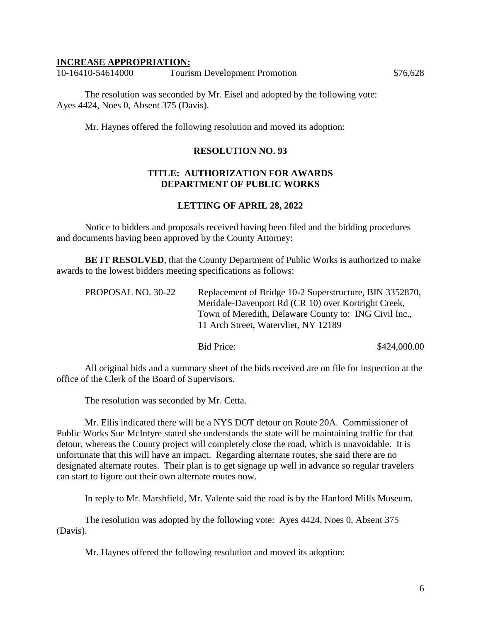#### **INCREASE APPROPRIATION:**

10-16410-54614000 Tourism Development Promotion \$76,628

The resolution was seconded by Mr. Eisel and adopted by the following vote: Ayes 4424, Noes 0, Absent 375 (Davis).

Mr. Haynes offered the following resolution and moved its adoption:

#### **RESOLUTION NO. 93**

### **TITLE: AUTHORIZATION FOR AWARDS DEPARTMENT OF PUBLIC WORKS**

#### **LETTING OF APRIL 28, 2022**

Notice to bidders and proposals received having been filed and the bidding procedures and documents having been approved by the County Attorney:

**BE IT RESOLVED**, that the County Department of Public Works is authorized to make awards to the lowest bidders meeting specifications as follows:

| PROPOSAL NO. 30-22 | Replacement of Bridge 10-2 Superstructure, BIN 3352870,<br>Meridale-Davenport Rd (CR 10) over Kortright Creek,<br>Town of Meredith, Delaware County to: ING Civil Inc.,<br>11 Arch Street, Watervliet, NY 12189 |              |
|--------------------|-----------------------------------------------------------------------------------------------------------------------------------------------------------------------------------------------------------------|--------------|
|                    | Bid Price:                                                                                                                                                                                                      | \$424,000.00 |

All original bids and a summary sheet of the bids received are on file for inspection at the office of the Clerk of the Board of Supervisors.

The resolution was seconded by Mr. Cetta.

Mr. Ellis indicated there will be a NYS DOT detour on Route 20A. Commissioner of Public Works Sue McIntyre stated she understands the state will be maintaining traffic for that detour, whereas the County project will completely close the road, which is unavoidable. It is unfortunate that this will have an impact. Regarding alternate routes, she said there are no designated alternate routes. Their plan is to get signage up well in advance so regular travelers can start to figure out their own alternate routes now.

In reply to Mr. Marshfield, Mr. Valente said the road is by the Hanford Mills Museum.

The resolution was adopted by the following vote: Ayes 4424, Noes 0, Absent 375 (Davis).

Mr. Haynes offered the following resolution and moved its adoption: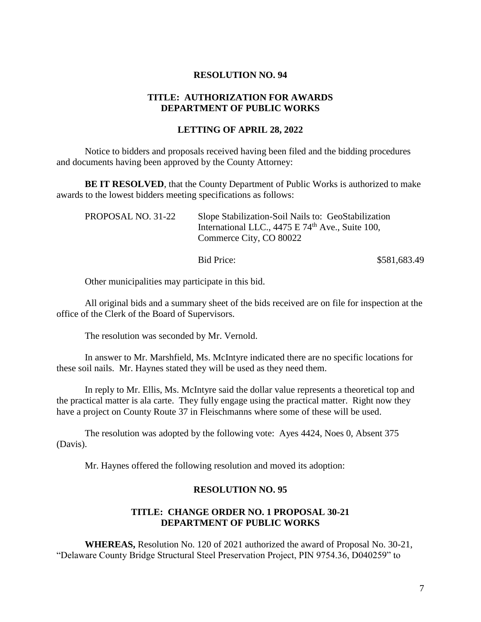#### **RESOLUTION NO. 94**

### **TITLE: AUTHORIZATION FOR AWARDS DEPARTMENT OF PUBLIC WORKS**

#### **LETTING OF APRIL 28, 2022**

Notice to bidders and proposals received having been filed and the bidding procedures and documents having been approved by the County Attorney:

**BE IT RESOLVED**, that the County Department of Public Works is authorized to make awards to the lowest bidders meeting specifications as follows:

| PROPOSAL NO. 31-22 | Slope Stabilization-Soil Nails to: GeoStabilization<br>International LLC., 4475 E 74 <sup>th</sup> Ave., Suite 100,<br>Commerce City, CO 80022 |              |
|--------------------|------------------------------------------------------------------------------------------------------------------------------------------------|--------------|
|                    | Bid Price:                                                                                                                                     | \$581,683.49 |

Other municipalities may participate in this bid.

All original bids and a summary sheet of the bids received are on file for inspection at the office of the Clerk of the Board of Supervisors.

The resolution was seconded by Mr. Vernold.

In answer to Mr. Marshfield, Ms. McIntyre indicated there are no specific locations for these soil nails. Mr. Haynes stated they will be used as they need them.

In reply to Mr. Ellis, Ms. McIntyre said the dollar value represents a theoretical top and the practical matter is ala carte. They fully engage using the practical matter. Right now they have a project on County Route 37 in Fleischmanns where some of these will be used.

The resolution was adopted by the following vote: Ayes 4424, Noes 0, Absent 375 (Davis).

Mr. Haynes offered the following resolution and moved its adoption:

#### **RESOLUTION NO. 95**

### **TITLE: CHANGE ORDER NO. 1 PROPOSAL 30-21 DEPARTMENT OF PUBLIC WORKS**

**WHEREAS,** Resolution No. 120 of 2021 authorized the award of Proposal No. 30-21, "Delaware County Bridge Structural Steel Preservation Project, PIN 9754.36, D040259" to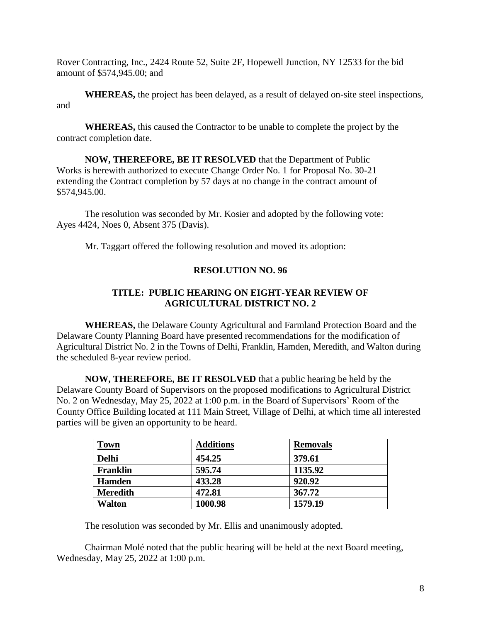Rover Contracting, Inc., 2424 Route 52, Suite 2F, Hopewell Junction, NY 12533 for the bid amount of \$574,945.00; and

**WHEREAS,** the project has been delayed, as a result of delayed on-site steel inspections, and

**WHEREAS,** this caused the Contractor to be unable to complete the project by the contract completion date.

**NOW, THEREFORE, BE IT RESOLVED** that the Department of Public Works is herewith authorized to execute Change Order No. 1 for Proposal No. 30-21 extending the Contract completion by 57 days at no change in the contract amount of \$574,945.00.

The resolution was seconded by Mr. Kosier and adopted by the following vote: Ayes 4424, Noes 0, Absent 375 (Davis).

Mr. Taggart offered the following resolution and moved its adoption:

## **RESOLUTION NO. 96**

# **TITLE: PUBLIC HEARING ON EIGHT-YEAR REVIEW OF AGRICULTURAL DISTRICT NO. 2**

**WHEREAS,** the Delaware County Agricultural and Farmland Protection Board and the Delaware County Planning Board have presented recommendations for the modification of Agricultural District No. 2 in the Towns of Delhi, Franklin, Hamden, Meredith, and Walton during the scheduled 8-year review period.

**NOW, THEREFORE, BE IT RESOLVED** that a public hearing be held by the Delaware County Board of Supervisors on the proposed modifications to Agricultural District No. 2 on Wednesday, May 25, 2022 at 1:00 p.m. in the Board of Supervisors' Room of the County Office Building located at 111 Main Street, Village of Delhi, at which time all interested parties will be given an opportunity to be heard.

| <b>Town</b>     | <b>Additions</b> | <b>Removals</b> |
|-----------------|------------------|-----------------|
| <b>Delhi</b>    | 454.25           | 379.61          |
| Franklin        | 595.74           | 1135.92         |
| <b>Hamden</b>   | 433.28           | 920.92          |
| <b>Meredith</b> | 472.81           | 367.72          |
| <b>Walton</b>   | 1000.98          | 1579.19         |

The resolution was seconded by Mr. Ellis and unanimously adopted.

Chairman Molé noted that the public hearing will be held at the next Board meeting, Wednesday, May 25, 2022 at 1:00 p.m.